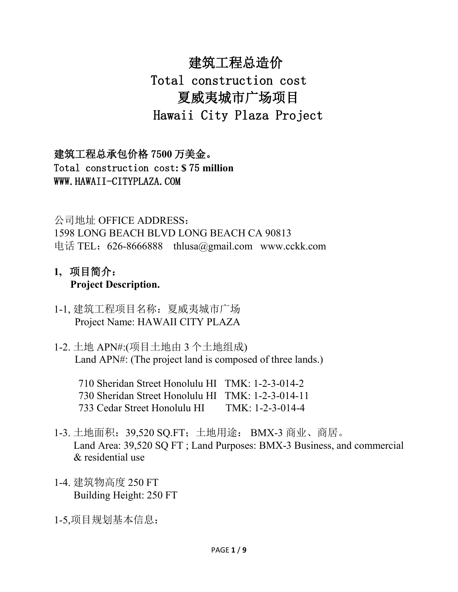# 建筑工程总造价 Total construction cost 夏威夷城市广场项目 Hawaii City Plaza Project

建筑工程总承包价格 75**00** 万美金。 Total construction cost**: \$** 75 **million** WWW.HAWAII-CITYPLAZA.COM

公司地址 OFFICE ADDRESS: 1598 LONG BEACH BLVD LONG BEACH CA 90813 电话 TEL: 626-8666888 [thlusa@gmail.com](mailto:thlusa@gmail.com) [www.cckk.com](http://www.cckk.com/)

# **1,** 项目简介: **Project Description.**

- 1-1, 建筑工程项目名称:夏威夷城市广场 Project Name: HAWAII CITY PLAZA
- 1-2. 土地 APN#:(项目土地由 3 个土地组成) Land APN#: (The project land is composed of three lands.)

710 Sheridan Street Honolulu HI TMK: 1-2-3-014-2 730 Sheridan Street Honolulu HI TMK: 1-2-3-014-11 733 Cedar Street Honolulu HI TMK: 1-2-3-014-4

- 1-3. 土地面积:39,520 SQ.FT;土地用途: BMX-3 商业、商居。 Land Area: 39,520 SQ FT ; Land Purposes: BMX-3 Business, and commercial & residential use
- 1-4. 建筑物高度 250 FT Building Height: 250 FT

1-5,项目规划基本信息: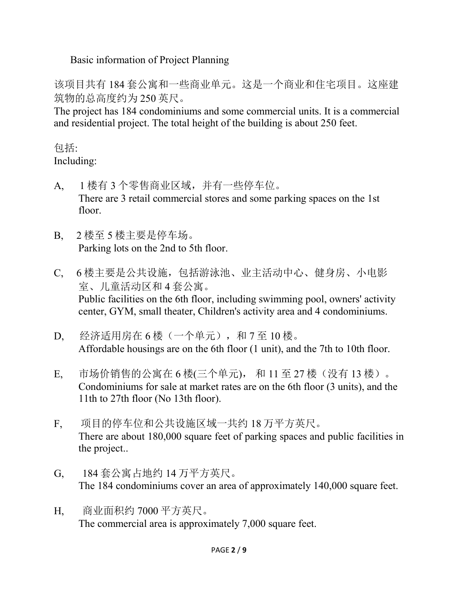Basic information of Project Planning

该项目共有 184 套公寓和一些商业单元。这是一个商业和住宅项目。这座建 筑物的总高度约为 250 英尺。

The project has 184 condominiums and some commercial units. It is a commercial and residential project. The total height of the building is about 250 feet.

# 包括:

Including:

- A, 1 楼有 3 个零售商业区域,并有一些停车位。 There are 3 retail commercial stores and some parking spaces on the 1st floor.
- B, 2 楼至 5 楼主要是停车场。 Parking lots on the 2nd to 5th floor.
- C, 6 楼主要是公共设施,包括游泳池、业主活动中心、健身房、小电影 室、儿童活动区和 4 套公寓。 Public facilities on the 6th floor, including swimming pool, owners' activity center, GYM, small theater, Children's activity area and 4 condominiums.
- D, 经济适用房在 6 楼(一个单元), 和 7 至 10 楼。 Affordable housings are on the 6th floor (1 unit), and the 7th to 10th floor.
- E, 市场价销售的公寓在 6 楼(三个单元), 和 11 至 27 楼(没有 13 楼)。 Condominiums for sale at market rates are on the 6th floor (3 units), and the 11th to 27th floor (No 13th floor).
- F, 项目的停车位和公共设施区域一共约 18 万平方英尺。 There are about 180,000 square feet of parking spaces and public facilities in the project..
- G, 184 套公寓占地约 14 万平方英尺。 The 184 condominiums cover an area of approximately 140,000 square feet.
- H, 商业面积约 7000 平方英尺。 The commercial area is approximately 7,000 square feet.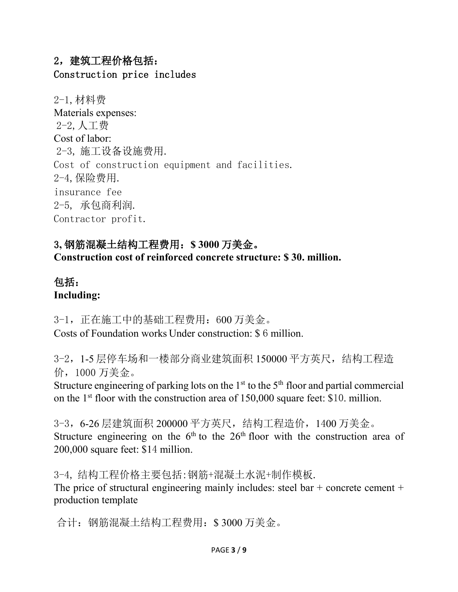# 2,建筑工程价格包括: Construction price includes

2-1,材料费 Materials expenses: 2-2,人工费 Cost of labor: 2-3, 施工设备设施费用. Cost of construction equipment and facilities. 2-4,保险费用. insurance fee 2-5, 承包商利润. Contractor profit.

## 3**,** 钢筋混凝土结构工程费用:**\$ 3000** 万美金。 **Construction cost of reinforced concrete structure: \$ 30. million.**

#### 包括: **Including:**

3-1, 正在施工中的基础工程费用: 600 万美金。 Costs of Foundation works Under construction: \$ 6 million.

3-2,1-5 层停车场和一楼部分商业建筑面积 150000 平方英尺,结构工程造 价,1000 万美金。

Structure engineering of parking lots on the  $1<sup>st</sup>$  to the  $5<sup>th</sup>$  floor and partial commercial on the 1st floor with the construction area of 150,000 square feet: \$10. million.

3-3,6-26 层建筑面积 200000 平方英尺,结构工程造价,1400 万美金。 Structure engineering on the  $6<sup>th</sup>$  to the  $26<sup>th</sup>$  floor with the construction area of 200,000 square feet: \$14 million.

3-4, 结构工程价格主要包括:钢筋+混凝土水泥+制作模板. The price of structural engineering mainly includes: steel bar  $+$  concrete cement  $+$ production template

合计:钢筋混凝土结构工程费用:\$ 3000 万美金。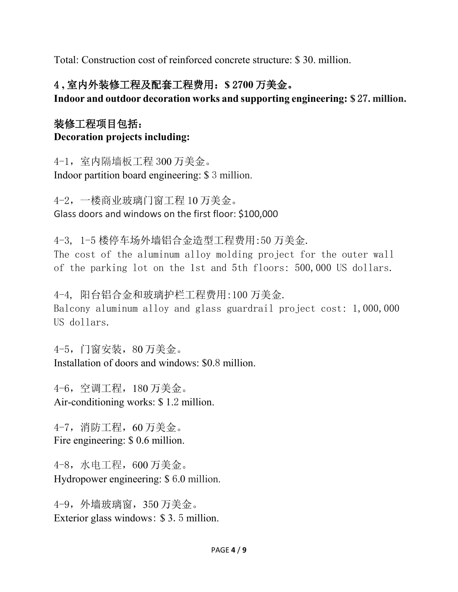Total: Construction cost of reinforced concrete structure: \$ 30. million.

## 4 **,** 室内外装修工程及配套工程费用:**\$** 27**00** 万美金。

**Indoor and outdoor decoration works and supporting engineering: \$** 27**. million.**

#### 装修工程项目包括: **Decoration projects including:**

4-1,室内隔墙板工程 300 万美金。 Indoor partition board engineering: \$ 3 million.

4-2,一楼商业玻璃门窗工程 10 万美金。 Glass doors and windows on the first floor: \$100,000

4-3, 1-5 楼停车场外墙铝合金造型工程费用:50 万美金. The cost of the aluminum alloy molding project for the outer wall of the parking lot on the 1st and 5th floors: 500,000 US dollars.

4-4, 阳台铝合金和玻璃护栏工程费用:100 万美金. Balcony aluminum alloy and glass guardrail project cost: 1,000,000 US dollars.

4-5,门窗安装,80 万美金。 Installation of doors and windows: \$0.8 million.

4-6,空调工程,180 万美金。 Air-conditioning works: \$ 1.2 million.

4-7,消防工程,60 万美金。 Fire engineering: \$ 0.6 million.

4-8,水电工程,600 万美金。 Hydropower engineering: \$ 6.0 million.

4-9,外墙玻璃窗,350 万美金。 Exterior glass windows: \$ 3.5 million.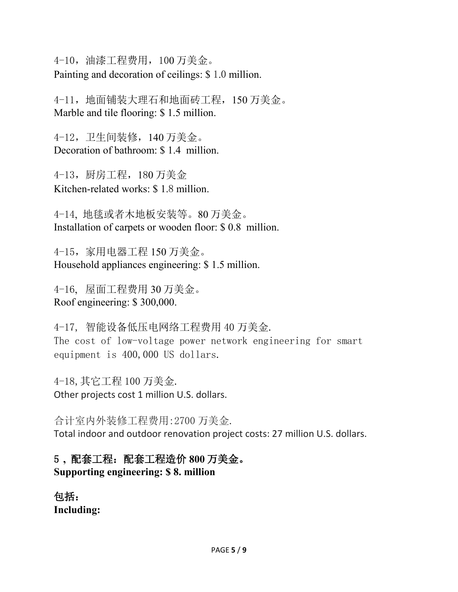4-10,油漆工程费用,100 万美金。 Painting and decoration of ceilings: \$ 1.0 million.

4-11,地面铺装大理石和地面砖工程,150 万美金。 Marble and tile flooring: \$ 1.5 million.

4-12,卫生间装修,140 万美金。 Decoration of bathroom: \$ 1.4 million.

4-13,厨房工程,180 万美金 Kitchen-related works: \$ 1.8 million.

4-14, 地毯或者木地板安装等。80 万美金。 Installation of carpets or wooden floor: \$ 0.8 million.

4-15,家用电器工程 150 万美金。 Household appliances engineering: \$ 1.5 million.

4-16, 屋面工程费用 30 万美金。 Roof engineering: \$ 300,000.

4-17, 智能设备低压电网络工程费用 40 万美金. The cost of low-voltage power network engineering for smart equipment is 400,000 US dollars.

4-18,其它工程 100 万美金. Other projects cost 1 million U.S. dollars.

合计室内外装修工程费用:2700 万美金. Total indoor and outdoor renovation project costs: 27 million U.S. dollars.

## 5, 配套工程: 配套工程造价 800 万美金。

**Supporting engineering: \$ 8. million**

包括: **Including:**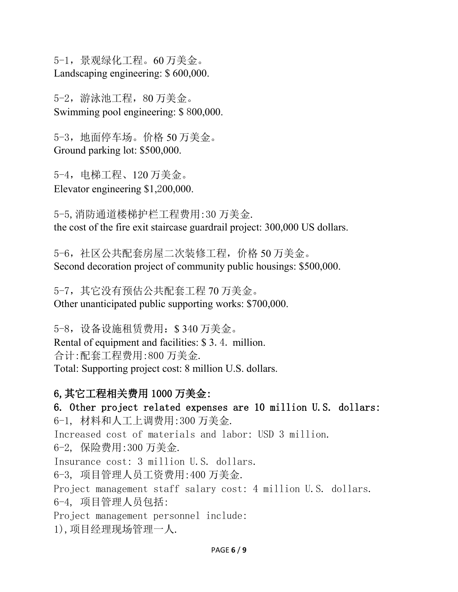5-1,景观绿化工程。60 万美金。 Landscaping engineering: \$ 600,000.

5-2,游泳池工程,80 万美金。 Swimming pool engineering: \$ 800,000.

5-3,地面停车场。价格 50 万美金。 Ground parking lot: \$500,000.

5-4,电梯工程、120 万美金。 Elevator engineering \$1,200,000.

5-5,消防通道楼梯护栏工程费用:30 万美金. the cost of the fire exit staircase guardrail project: 300,000 US dollars.

5-6,社区公共配套房屋二次装修工程,价格 50 万美金。 Second decoration project of community public housings: \$500,000.

5-7,其它没有预估公共配套工程 70 万美金。 Other unanticipated public supporting works: \$700,000.

5-8,设备设施租赁费用:\$ 340 万美金。 Rental of equipment and facilities: \$ 3.4. million. 合计:配套工程费用:800 万美金. Total: Supporting project cost: 8 million U.S. dollars.

## 6,其它工程相关费用 1000 万美金:

6. Other project related expenses are 10 million U.S. dollars: 6-1, 材料和人工上调费用:300 万美金. Increased cost of materials and labor: USD 3 million. 6-2, 保险费用:300 万美金. Insurance cost: 3 million U.S. dollars. 6-3, 项目管理人员工资费用:400 万美金. Project management staff salary cost: 4 million U.S. dollars. 6-4, 项目管理人员包括: Project management personnel include: 1),项目经理现场管理一人.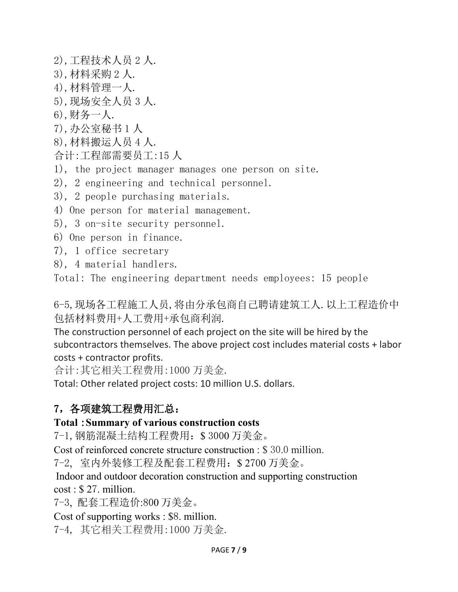- 2),工程技术人员 2 人.
- 3),材料采购 2 人.
- 4),材料管理一人.
- 5),现场安全人员 3 人.
- 6),财务一人.
- 7),办公室秘书 1 人
- 8),材料搬运人员 4 人.

合计:工程部需要员工:15 人

- 1), the project manager manages one person on site.
- 2), 2 engineering and technical personnel.
- 3), 2 people purchasing materials.
- 4) One person for material management.
- 5), 3 on-site security personnel.
- 6) One person in finance.
- 7), 1 office secretary
- 8), 4 material handlers.

Total: The engineering department needs employees: 15 people

6-5,现场各工程施工人员,将由分承包商自己聘请建筑工人.以上工程造价中 包括材料费用+人工费用+承包商利润.

The construction personnel of each project on the site will be hired by the subcontractors themselves. The above project cost includes material costs + labor costs + contractor profits.

合计:其它相关工程费用:1000 万美金.

Total: Other related project costs: 10 million U.S. dollars.

# 7,各项建筑工程费用汇总:

#### **Total** :**Summary of various construction costs**

7-1,钢筋混凝土结构工程费用:\$ 3000 万美金。

Cost of reinforced concrete structure construction : \$ 30.0 million.

7-2, 室内外装修工程及配套工程费用:\$ 2700 万美金。

#### Indoor and outdoor decoration construction and supporting construction cost : \$ 27. million.

7-3, 配套工程造价:800 万美金。

Cost of supporting works : \$8. million.

7-4, 其它相关工程费用:1000 万美金.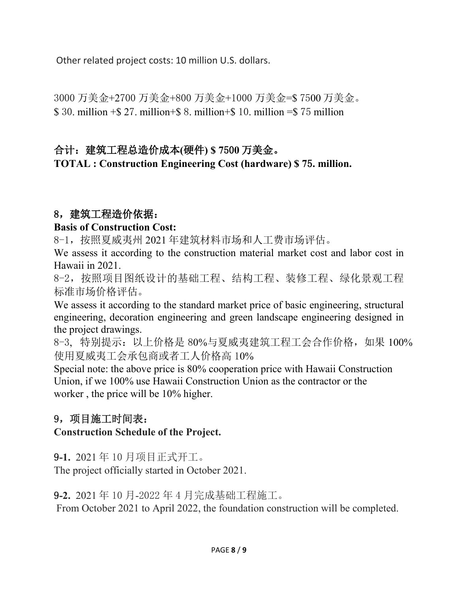Other related project costs: 10 million U.S. dollars.

3000 万美金+2700 万美金+800 万美金+1000 万美金=\$ 7500 万美金。 \$ 30. million  $+$ \$ 27. million  $+$ \$ 8. million  $+$ \$ 10. million  $=$ \$ 75 million

# 合计:建筑工程总造价成本**(**硬件**) \$ 7**50**0** 万美金。 **TOTAL : Construction Engineering Cost (hardware) \$ 7**5**. million.**

## 8,建筑工程造价依据:

#### **Basis of Construction Cost:**

8-1,按照夏威夷州 2021 年建筑材料市场和人工费市场评估。

We assess it according to the construction material market cost and labor cost in Hawaii in 2021.

8-2,按照项目图纸设计的基础工程、结构工程、装修工程、绿化景观工程 标准市场价格评估。

We assess it according to the standard market price of basic engineering, structural engineering, decoration engineering and green landscape engineering designed in the project drawings.

8-3, 特别提示:以上价格是 80%与夏威夷建筑工程工会合作价格,如果 100% 使用夏威夷工会承包商或者工人价格高 10%

Special note: the above price is 80% cooperation price with Hawaii Construction Union, if we 100% use Hawaii Construction Union as the contractor or the worker , the price will be 10% higher.

## 9,项目施工时间表:

#### **Construction Schedule of the Project.**

9**-1.** 2021 年 10 月项目正式开工。

The project officially started in October 2021.

9**-2.** 2021 年 10 月-2022 年 4 月完成基础工程施工。

From October 2021 to April 2022, the foundation construction will be completed.